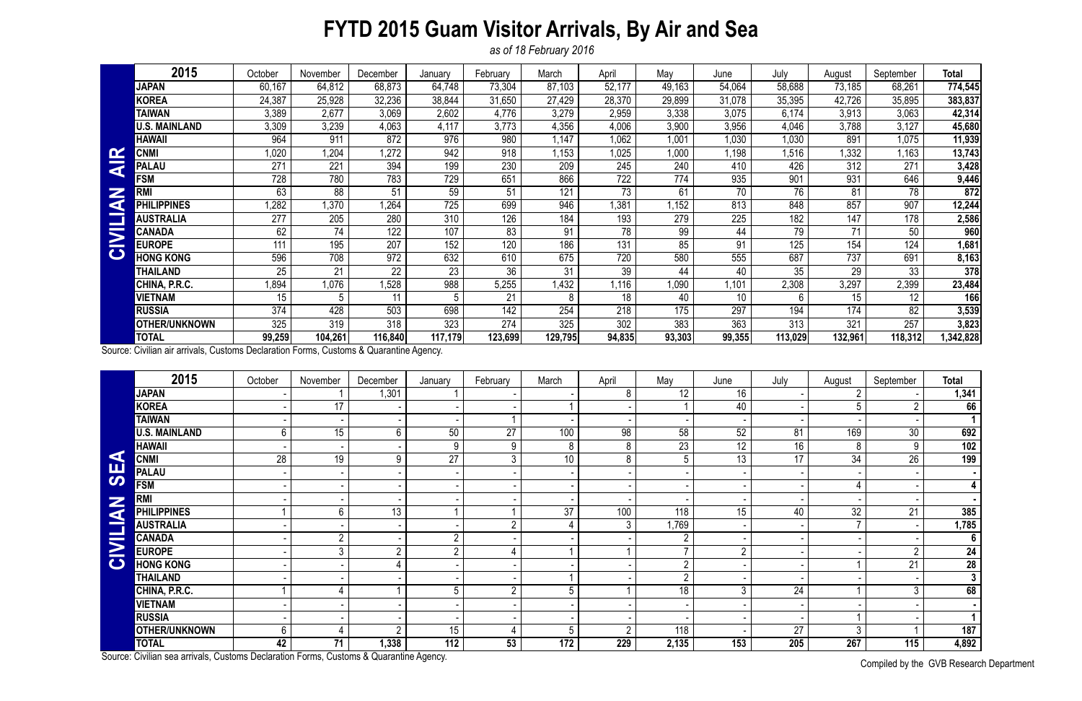## **FYTD 2015 Guam Visitor Arrivals, By Air and Sea**

*as of 18 February 2016*

Compiled by the GVB Research Department

|                         | 2015                 | October | November | December | January | February | March   | April  | May    | June   | July    | August  | September | <b>Total</b> |
|-------------------------|----------------------|---------|----------|----------|---------|----------|---------|--------|--------|--------|---------|---------|-----------|--------------|
|                         | <b>JAPAN</b>         | 60,167  | 64,812   | 68,873   | 64,748  | 73,304   | 87,103  | 52,177 | 49,163 | 54,064 | 58,688  | 73,185  | 68,261    | 774,545      |
|                         | <b>KOREA</b>         | 24,387  | 25,928   | 32,236   | 38,844  | 31,650   | 27,429  | 28,370 | 29,899 | 31,078 | 35,395  | 42,726  | 35,895    | 383,837      |
|                         | <b>TAIWAN</b>        | 3,389   | 2,677    | 3,069    | 2,602   | 4,776    | 3,279   | 2,959  | 3,338  | 3,075  | 6,174   | 3,913   | 3,063     | 42,314       |
|                         | U.S. MAINLAND        | 3,309   | 3,239    | 4,063    | 4,117   | 3,773    | 4,356   | 4,006  | 3,900  | 3,956  | 4,046   | 3,788   | 3,127     | 45,680       |
|                         | <b>HAWAII</b>        | 964     | 911      | 872      | 976     | 980      | ,147    | 1.062  | 1,001  | 1,030  | 1,030   | 891     | 1,075     | 11,939       |
| $\alpha$                | <b>CNMI</b>          | 1,020   | 1,204    | 1,272    | 942     | 918      | .153    | .025   | 1,000  | 1,198  | 1,516   | 1,332   | 1,163     | 13,743       |
| $\overline{\textbf{a}}$ | <b>PALAU</b>         | 271     | 221      | 394      | 199     | 230      | 209     | 245    | 240    | 410    | 426     | 312     | 271       | 3,428        |
|                         | <b>FSM</b>           | 728     | 780      | 783      | 729     | 651      | 866     | 722    | 774    | 935    | 901     | 931     | 646       | 9,446        |
| Z                       | RMI                  | 63      | 88       | 51       | 59      | 51       | 121     | 73     | 61     | 70     | 76      | 81      | 78        | 872          |
| q                       | <b>LIPPINES</b>      | 1,282   | 1,370    | 1,264    | 725     | 699      | 946     | .381   | .152   | 813    | 848     | 857     | 907       | 12,244       |
|                         | <b>AUSTRALIA</b>     | 277     | 205      | 280      | 310     | 126      | 184     | 193    | 279    | 225    | 182     | 147     | 178       | 2,586        |
| $\overline{\mathbf{z}}$ | CANADA               | 62      | 74       | 122      | 107     | 83       | 91      | 78     | 99     | 44     | 79      | 71      | 50        | 960          |
|                         | <b>EUROPE</b>        | 111     | 195      | 207      | 152     | 120      | 186     | 131    | 85     | 91     | 125     | 154     | 124       | 1,681        |
| $\bullet$               | <b>HONG KONG</b>     | 596     | 708      | 972      | 632     | 610      | 675     | 720    | 580    | 555    | 687     | 737     | 691       | 8,163        |
|                         | THAILAND             | 25      | 21       | 22       | 23      | 36       | 31      | 39     | 44     | 40     | 35      | 29      | 33        | 378          |
|                         | CHINA, P.R.C.        | 1,894   | 1,076    | 1,528    | 988     | 5,255    | .432    | 1,116  | 1,090  | .101   | 2,308   | 3,297   | 2,399     | 23,484       |
|                         | <b>VIETNAM</b>       | 15      | 5        |          | 5       | 21       | 8       | 18     | 40     | 10     | 6       | 15      | 12        | 166          |
|                         | <b>RUSSIA</b>        | 374     | 428      | 503      | 698     | 142      | 254     | 218    | 175    | 297    | 194     | 174     | 82        | 3,539        |
|                         | <b>OTHER/UNKNOWN</b> | 325     | 319      | 318      | 323     | 274      | 325     | 302    | 383    | 363    | 313     | 321     | 257       | 3,823        |
|                         | <b>TOTAL</b>         | 99,259  | 104,261  | 116,840  | 117,179 | 123,699  | 129,795 | 94,835 | 93,303 | 99,355 | 113,029 | 132,961 | 118,312   | 342,828,     |

| $\mathbf{\alpha}$                                                                      | <b>CNMI</b>                                                                            | 1,020            | 1,204            | 1,272           | 942              | 918             | 1,153           | 1,025           | 1,000            | 1,198           | 1,516           | 1,332            | 1,163           | 13,743                 |
|----------------------------------------------------------------------------------------|----------------------------------------------------------------------------------------|------------------|------------------|-----------------|------------------|-----------------|-----------------|-----------------|------------------|-----------------|-----------------|------------------|-----------------|------------------------|
| ₹                                                                                      | <b>PALAU</b>                                                                           | 271              | 221              | 394             | 199              | 230             | 209             | 245             | 240              | 410             | 426             | 312              | 271             | 3,428                  |
| Z<br>K<br><b>CIVILI</b>                                                                | <b>FSM</b>                                                                             | 728              | 780              | 783             | 729              | 651             | 866             | 722             | 774              | 935             | 901             | 931              | 646             | 9,446                  |
|                                                                                        | <b>RMI</b>                                                                             | 63               | 88               | 51              | 59               | 51              | 121             | 73              | 61               | 70              | 76              | 81               | 78              | 872                    |
|                                                                                        | <b>PHILIPPINES</b>                                                                     | ,282             | 1,370            | 1,264           | $\overline{725}$ | 699             | 946             | ,381            | ,152             | 813             | 848             | 857              | 907             | 12,244                 |
|                                                                                        | <b>AUSTRALIA</b>                                                                       | 277              | 205              | 280             | 310              | 126             | 184             | 193             | 279              | 225             | 182             | 147              | 178             | 2,586                  |
|                                                                                        | <b>CANADA</b>                                                                          | 62               | 74               | 122             | 107              | 83              | 91              | $\overline{78}$ | 99               | 44              | $\overline{79}$ | 71               | 50              | 960                    |
|                                                                                        | <b>EUROPE</b>                                                                          | 111              | 195              | 207             | 152              | 120             | 186             | 131             | 85               | 91              | 125             | 154              | 124             | 1,681                  |
|                                                                                        | <b>HONG KONG</b>                                                                       | 596              | 708              | 972             | 632              | 610             | 675             | 720             | 580              | 555             | 687             | 737              | 691             | 8,163                  |
|                                                                                        | <b>THAILAND</b>                                                                        | 25               | 21               | $\overline{22}$ | $\overline{23}$  | $\overline{36}$ | 31              | 39              | 44               | 40              | $\overline{35}$ | 29               | $\overline{33}$ | 378                    |
|                                                                                        | CHINA, P.R.C.                                                                          | 1,894            | 1,076            | 1,528           | 988              | 5,255           | 1,432           | 1,116           | 1,090            | 1,101           | 2,308           | 3,297            | 2,399           | 23,484                 |
|                                                                                        | <b>VIETNAM</b>                                                                         | 15               | 5                | 11              | 5                | 21              | 8               | 18              | 40               | 10              | 6               | 15 <sub>15</sub> | 12              | 166                    |
|                                                                                        | <b>RUSSIA</b>                                                                          | $\overline{374}$ | 428              | 503             | 698              | 142             | 254             | 218             | $\overline{175}$ | 297             | 194             | 174              | 82              | 3,539                  |
|                                                                                        | <b>OTHER/UNKNOWN</b>                                                                   | 325              | $\overline{319}$ | 318             | 323              | 274             | 325             | 302             | 383              | 363             | 313             | 321              | 257             | 3,823                  |
|                                                                                        | <b>TOTAL</b>                                                                           | 99,259           | 104,261          | 116,840         | 117,179          | 123,699         | 129,795         | 94,835          | 93,303           | 99,355          | 113,029         | 132,961          | 118,312         | 1,342,828              |
| Source: Civilian air arrivals, Customs Declaration Forms, Customs & Quarantine Agency. |                                                                                        |                  |                  |                 |                  |                 |                 |                 |                  |                 |                 |                  |                 |                        |
|                                                                                        | 2015                                                                                   | October          | November         | December        | January          | February        | March           | April           | May              | June            | July            | August           | September       | Total                  |
|                                                                                        | <b>JAPAN</b>                                                                           |                  |                  | 1,301           |                  |                 |                 | 8               | 12               | 16              |                 | $\overline{2}$   |                 | 1,341                  |
|                                                                                        | <b>KOREA</b>                                                                           |                  | 17               |                 |                  |                 |                 |                 |                  | 40              |                 | $5\overline{)}$  | $\overline{2}$  | 66                     |
|                                                                                        | <b>TAIWAN</b>                                                                          |                  |                  |                 |                  |                 |                 |                 |                  |                 |                 |                  |                 |                        |
|                                                                                        | <b>U.S. MAINLAND</b>                                                                   | 6                | 15               | $6\phantom{.}$  | $\overline{50}$  | $\overline{27}$ | 100             | 98              | 58               | 52              | 81              | 169              | $\overline{30}$ | 692                    |
|                                                                                        | <b>HAWAII</b>                                                                          |                  |                  |                 | 9                | 9               | 8               | 8               | $\overline{23}$  | $\overline{12}$ | $\overline{16}$ | $8\phantom{1}$   | 9               | 102                    |
| K                                                                                      | <b>CNMI</b>                                                                            | 28               | 19               | 9               | $\overline{27}$  | $\overline{3}$  | 10 <sup>°</sup> | 8               | 5                | $\overline{13}$ | $\overline{17}$ | $\overline{34}$  | $\overline{26}$ | 199                    |
| <b>UB</b>                                                                              | <b>PALAU</b>                                                                           |                  |                  |                 |                  |                 |                 |                 |                  |                 |                 |                  |                 |                        |
|                                                                                        | <b>FSM</b>                                                                             |                  |                  |                 |                  |                 |                 |                 |                  |                 |                 | 4                |                 | 4                      |
|                                                                                        | <b>RMI</b>                                                                             |                  |                  |                 |                  |                 |                 |                 |                  |                 |                 |                  |                 |                        |
|                                                                                        | <b>PHILIPPINES</b>                                                                     |                  | $6\phantom{.}$   | $\overline{13}$ |                  |                 | 37              | 100             | 118              | 15              | 40              | 32               | 21              | 385                    |
| <b>NAITIL</b>                                                                          | <b>AUSTRALIA</b>                                                                       |                  |                  |                 |                  | $\overline{2}$  |                 | 3               | 1,769            |                 |                 | $\overline{7}$   |                 | 1,785                  |
|                                                                                        | <b>CANADA</b>                                                                          |                  | $\overline{2}$   |                 | $\overline{2}$   |                 |                 |                 | $\overline{2}$   |                 |                 |                  |                 | $\overline{6}$         |
| $\mathbf{Z}$                                                                           | <b>EUROPE</b>                                                                          |                  | 3                | $\overline{2}$  | $\overline{2}$   | 4               |                 |                 | $\overline{7}$   | $\overline{2}$  |                 |                  | $\overline{2}$  | 24                     |
| $\bullet$                                                                              | <b>HONG KONG</b>                                                                       |                  |                  |                 |                  |                 |                 |                 | $\overline{2}$   |                 |                 |                  | 21              | <b>28</b>              |
|                                                                                        | <b>THAILAND</b>                                                                        |                  |                  |                 |                  |                 |                 |                 | $\overline{2}$   |                 |                 |                  |                 | 3 <sup>1</sup>         |
|                                                                                        | CHINA, P.R.C.                                                                          |                  |                  |                 | 5                | 2               | 5               |                 | 18               | $\mathfrak{Z}$  | 24              |                  | 3               | 68                     |
|                                                                                        | <b>VIETNAM</b>                                                                         |                  |                  |                 |                  |                 |                 |                 |                  |                 |                 |                  |                 |                        |
|                                                                                        | <b>RUSSIA</b>                                                                          |                  |                  |                 |                  |                 |                 |                 |                  |                 |                 |                  |                 | $\mathbf{1}$           |
|                                                                                        | <b>OTHER/UNKNOWN</b>                                                                   | 6                |                  | 2               | 15               |                 | 5               | $\overline{2}$  | 118              |                 | 27              | $\mathfrak{Z}$   |                 | 187                    |
|                                                                                        | <b>TOTAL</b>                                                                           | 42               | 71               | 1,338           | 112              | 53              | 172             | 229             | 2,135            | 153             | 205             | 267              | 115             | 4,892                  |
|                                                                                        | Source: Civilian sea arrivals, Customs Declaration Forms, Customs & Quarantine Agency. |                  |                  |                 |                  |                 |                 |                 |                  |                 |                 |                  |                 | $\bigcap$ in $\bigcap$ |